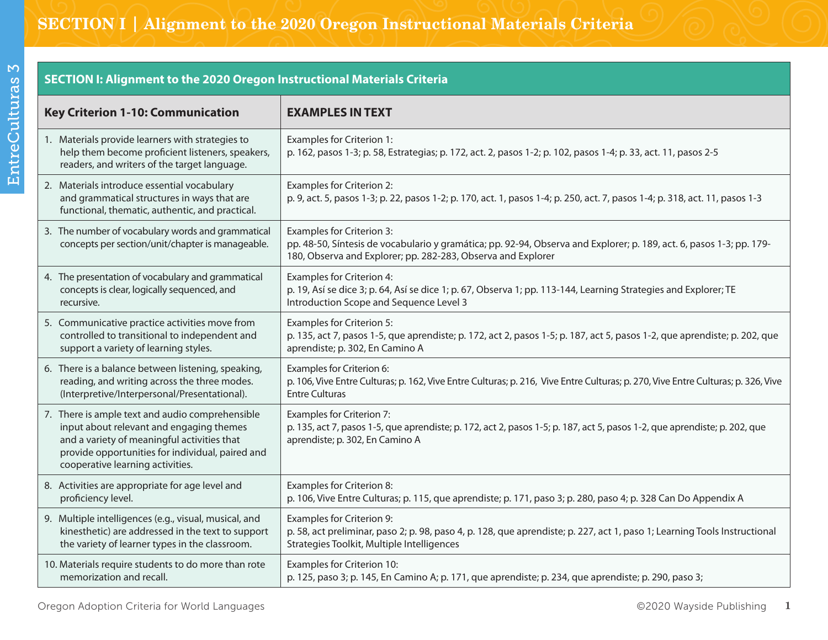**SECTION I: Alignment to the 2020 Oregon Instructional Materials Criteria**

| <b>Key Criterion 1-10: Communication</b>                                                                                                                                                                                           | <b>EXAMPLES IN TEXT</b>                                                                                                                                                                                                  |
|------------------------------------------------------------------------------------------------------------------------------------------------------------------------------------------------------------------------------------|--------------------------------------------------------------------------------------------------------------------------------------------------------------------------------------------------------------------------|
| 1. Materials provide learners with strategies to<br>help them become proficient listeners, speakers,<br>readers, and writers of the target language.                                                                               | <b>Examples for Criterion 1:</b><br>p. 162, pasos 1-3; p. 58, Estrategias; p. 172, act. 2, pasos 1-2; p. 102, pasos 1-4; p. 33, act. 11, pasos 2-5                                                                       |
| 2. Materials introduce essential vocabulary<br>and grammatical structures in ways that are<br>functional, thematic, authentic, and practical.                                                                                      | <b>Examples for Criterion 2:</b><br>p. 9, act. 5, pasos 1-3; p. 22, pasos 1-2; p. 170, act. 1, pasos 1-4; p. 250, act. 7, pasos 1-4; p. 318, act. 11, pasos 1-3                                                          |
| 3. The number of vocabulary words and grammatical<br>concepts per section/unit/chapter is manageable.                                                                                                                              | <b>Examples for Criterion 3:</b><br>pp. 48-50, Síntesis de vocabulario y gramática; pp. 92-94, Observa and Explorer; p. 189, act. 6, pasos 1-3; pp. 179-<br>180, Observa and Explorer; pp. 282-283, Observa and Explorer |
| 4. The presentation of vocabulary and grammatical                                                                                                                                                                                  | Examples for Criterion 4:                                                                                                                                                                                                |
| concepts is clear, logically sequenced, and                                                                                                                                                                                        | p. 19, Así se dice 3; p. 64, Así se dice 1; p. 67, Observa 1; pp. 113-144, Learning Strategies and Explorer; TE                                                                                                          |
| recursive.                                                                                                                                                                                                                         | Introduction Scope and Sequence Level 3                                                                                                                                                                                  |
| 5. Communicative practice activities move from                                                                                                                                                                                     | <b>Examples for Criterion 5:</b>                                                                                                                                                                                         |
| controlled to transitional to independent and                                                                                                                                                                                      | p. 135, act 7, pasos 1-5, que aprendiste; p. 172, act 2, pasos 1-5; p. 187, act 5, pasos 1-2, que aprendiste; p. 202, que                                                                                                |
| support a variety of learning styles.                                                                                                                                                                                              | aprendiste; p. 302, En Camino A                                                                                                                                                                                          |
| 6. There is a balance between listening, speaking,                                                                                                                                                                                 | Examples for Criterion 6:                                                                                                                                                                                                |
| reading, and writing across the three modes.                                                                                                                                                                                       | p. 106, Vive Entre Culturas; p. 162, Vive Entre Culturas; p. 216, Vive Entre Culturas; p. 270, Vive Entre Culturas; p. 326, Vive                                                                                         |
| (Interpretive/Interpersonal/Presentational).                                                                                                                                                                                       | <b>Entre Culturas</b>                                                                                                                                                                                                    |
| 7. There is ample text and audio comprehensible<br>input about relevant and engaging themes<br>and a variety of meaningful activities that<br>provide opportunities for individual, paired and<br>cooperative learning activities. | <b>Examples for Criterion 7:</b><br>p. 135, act 7, pasos 1-5, que aprendiste; p. 172, act 2, pasos 1-5; p. 187, act 5, pasos 1-2, que aprendiste; p. 202, que<br>aprendiste; p. 302, En Camino A                         |
| 8. Activities are appropriate for age level and                                                                                                                                                                                    | <b>Examples for Criterion 8:</b>                                                                                                                                                                                         |
| proficiency level.                                                                                                                                                                                                                 | p. 106, Vive Entre Culturas; p. 115, que aprendiste; p. 171, paso 3; p. 280, paso 4; p. 328 Can Do Appendix A                                                                                                            |
| 9. Multiple intelligences (e.g., visual, musical, and                                                                                                                                                                              | <b>Examples for Criterion 9:</b>                                                                                                                                                                                         |
| kinesthetic) are addressed in the text to support                                                                                                                                                                                  | p. 58, act preliminar, paso 2; p. 98, paso 4, p. 128, que aprendiste; p. 227, act 1, paso 1; Learning Tools Instructional                                                                                                |
| the variety of learner types in the classroom.                                                                                                                                                                                     | Strategies Toolkit, Multiple Intelligences                                                                                                                                                                               |
| 10. Materials require students to do more than rote                                                                                                                                                                                | <b>Examples for Criterion 10:</b>                                                                                                                                                                                        |
| memorization and recall.                                                                                                                                                                                                           | p. 125, paso 3; p. 145, En Camino A; p. 171, que aprendiste; p. 234, que aprendiste; p. 290, paso 3;                                                                                                                     |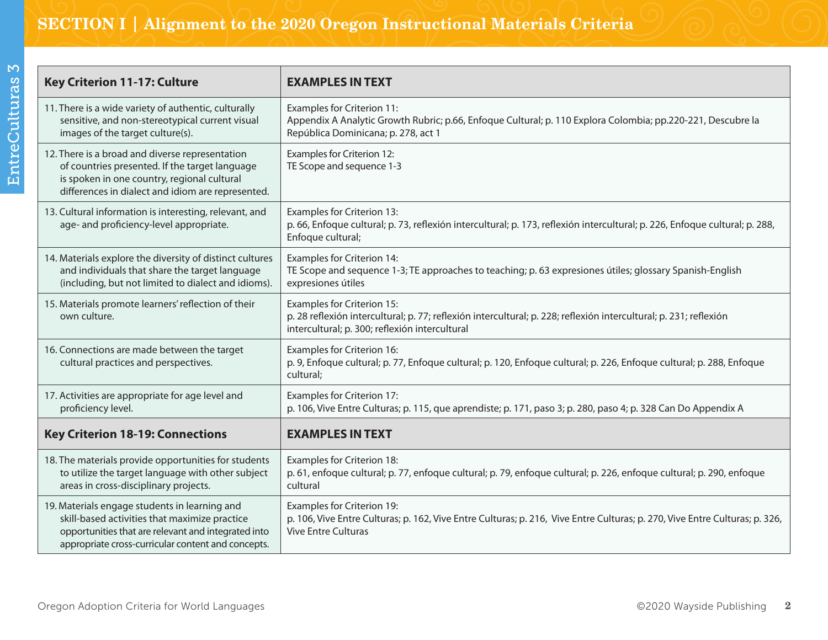| Key Criterion 11-17: Culture                                                                                                                                                                                | <b>EXAMPLES IN TEXT</b>                                                                                                                                                                                  |  |
|-------------------------------------------------------------------------------------------------------------------------------------------------------------------------------------------------------------|----------------------------------------------------------------------------------------------------------------------------------------------------------------------------------------------------------|--|
| 11. There is a wide variety of authentic, culturally<br>sensitive, and non-stereotypical current visual<br>images of the target culture(s).                                                                 | <b>Examples for Criterion 11:</b><br>Appendix A Analytic Growth Rubric; p.66, Enfoque Cultural; p. 110 Explora Colombia; pp.220-221, Descubre la<br>República Dominicana; p. 278, act 1                  |  |
| 12. There is a broad and diverse representation<br>of countries presented. If the target language<br>is spoken in one country, regional cultural<br>differences in dialect and idiom are represented.       | Examples for Criterion 12:<br>TE Scope and sequence 1-3                                                                                                                                                  |  |
| 13. Cultural information is interesting, relevant, and<br>age- and proficiency-level appropriate.                                                                                                           | <b>Examples for Criterion 13:</b><br>p. 66, Enfoque cultural; p. 73, reflexión intercultural; p. 173, reflexión intercultural; p. 226, Enfoque cultural; p. 288,<br>Enfoque cultural;                    |  |
| 14. Materials explore the diversity of distinct cultures<br>and individuals that share the target language<br>(including, but not limited to dialect and idioms).                                           | <b>Examples for Criterion 14:</b><br>TE Scope and sequence 1-3; TE approaches to teaching; p. 63 expresiones útiles; glossary Spanish-English<br>expresiones útiles                                      |  |
| 15. Materials promote learners' reflection of their<br>own culture.                                                                                                                                         | <b>Examples for Criterion 15:</b><br>p. 28 reflexión intercultural; p. 77; reflexión intercultural; p. 228; reflexión intercultural; p. 231; reflexión<br>intercultural; p. 300; reflexión intercultural |  |
| 16. Connections are made between the target<br>cultural practices and perspectives.                                                                                                                         | Examples for Criterion 16:<br>p. 9, Enfoque cultural; p. 77, Enfoque cultural; p. 120, Enfoque cultural; p. 226, Enfoque cultural; p. 288, Enfoque<br>cultural;                                          |  |
| 17. Activities are appropriate for age level and<br>proficiency level.                                                                                                                                      | Examples for Criterion 17:<br>p. 106, Vive Entre Culturas; p. 115, que aprendiste; p. 171, paso 3; p. 280, paso 4; p. 328 Can Do Appendix A                                                              |  |
| <b>Key Criterion 18-19: Connections</b>                                                                                                                                                                     | <b>EXAMPLES IN TEXT</b>                                                                                                                                                                                  |  |
| 18. The materials provide opportunities for students<br>to utilize the target language with other subject<br>areas in cross-disciplinary projects.                                                          | <b>Examples for Criterion 18:</b><br>p. 61, enfoque cultural; p. 77, enfoque cultural; p. 79, enfoque cultural; p. 226, enfoque cultural; p. 290, enfoque<br>cultural                                    |  |
| 19. Materials engage students in learning and<br>skill-based activities that maximize practice<br>opportunities that are relevant and integrated into<br>appropriate cross-curricular content and concepts. | Examples for Criterion 19:<br>p. 106, Vive Entre Culturas; p. 162, Vive Entre Culturas; p. 216, Vive Entre Culturas; p. 270, Vive Entre Culturas; p. 326,<br><b>Vive Entre Culturas</b>                  |  |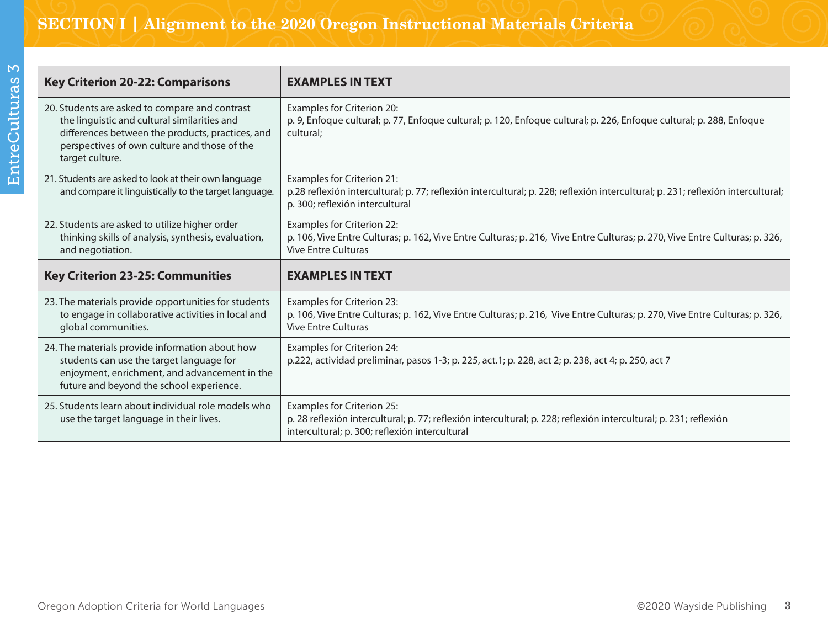# SECTION I | Alignment to the 2020 Oregon Instructional Materials Criteria

| t      |  |
|--------|--|
|        |  |
| Ì      |  |
| ï<br>ĺ |  |
| ſ<br>l |  |
|        |  |
|        |  |
| ï      |  |
|        |  |
|        |  |

| <b>Key Criterion 20-22: Comparisons</b>                                                                                                                                                                               | <b>EXAMPLES IN TEXT</b>                                                                                                                                                                                 |
|-----------------------------------------------------------------------------------------------------------------------------------------------------------------------------------------------------------------------|---------------------------------------------------------------------------------------------------------------------------------------------------------------------------------------------------------|
| 20. Students are asked to compare and contrast<br>the linguistic and cultural similarities and<br>differences between the products, practices, and<br>perspectives of own culture and those of the<br>target culture. | Examples for Criterion 20:<br>p. 9, Enfoque cultural; p. 77, Enfoque cultural; p. 120, Enfoque cultural; p. 226, Enfoque cultural; p. 288, Enfoque<br>cultural;                                         |
| 21. Students are asked to look at their own language<br>and compare it linguistically to the target language.                                                                                                         | <b>Examples for Criterion 21:</b><br>p.28 reflexión intercultural; p. 77; reflexión intercultural; p. 228; reflexión intercultural; p. 231; reflexión intercultural;<br>p. 300; reflexión intercultural |
| 22. Students are asked to utilize higher order<br>thinking skills of analysis, synthesis, evaluation,<br>and negotiation.                                                                                             | <b>Examples for Criterion 22:</b><br>p. 106, Vive Entre Culturas; p. 162, Vive Entre Culturas; p. 216, Vive Entre Culturas; p. 270, Vive Entre Culturas; p. 326,<br><b>Vive Entre Culturas</b>          |
|                                                                                                                                                                                                                       |                                                                                                                                                                                                         |
| <b>Key Criterion 23-25: Communities</b>                                                                                                                                                                               | <b>EXAMPLES IN TEXT</b>                                                                                                                                                                                 |
| 23. The materials provide opportunities for students<br>to engage in collaborative activities in local and<br>global communities.                                                                                     | <b>Examples for Criterion 23:</b><br>p. 106, Vive Entre Culturas; p. 162, Vive Entre Culturas; p. 216, Vive Entre Culturas; p. 270, Vive Entre Culturas; p. 326,<br><b>Vive Entre Culturas</b>          |
| 24. The materials provide information about how<br>students can use the target language for<br>enjoyment, enrichment, and advancement in the<br>future and beyond the school experience.                              | Examples for Criterion 24:<br>p.222, actividad preliminar, pasos 1-3; p. 225, act.1; p. 228, act 2; p. 238, act 4; p. 250, act 7                                                                        |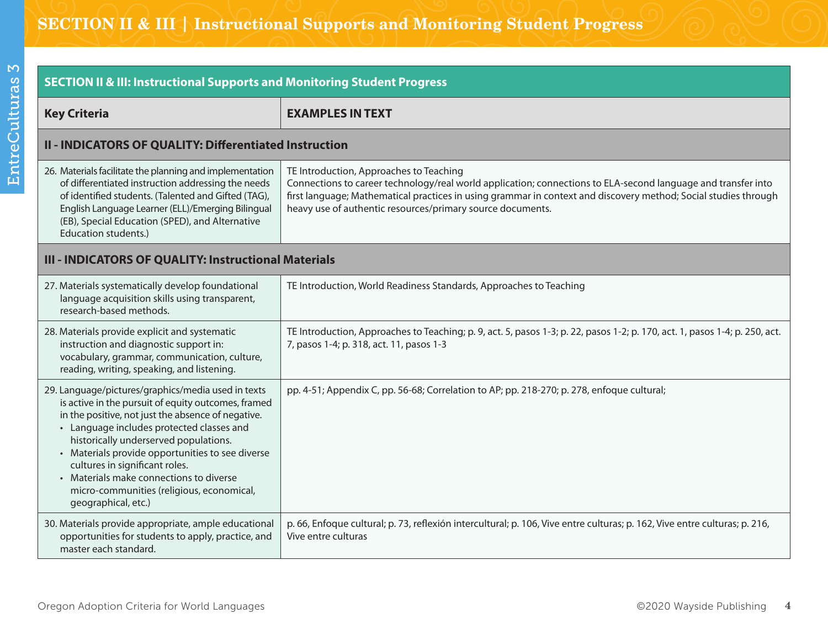| <b>SECTION II &amp; III: Instructional Supports and Monitoring Student Progress</b>                                                                                                                                                                                                                                                                                                                                                                        |                                                                                                                                                                                                                                                                                                                                           |  |
|------------------------------------------------------------------------------------------------------------------------------------------------------------------------------------------------------------------------------------------------------------------------------------------------------------------------------------------------------------------------------------------------------------------------------------------------------------|-------------------------------------------------------------------------------------------------------------------------------------------------------------------------------------------------------------------------------------------------------------------------------------------------------------------------------------------|--|
| <b>Key Criteria</b>                                                                                                                                                                                                                                                                                                                                                                                                                                        | <b>EXAMPLES IN TEXT</b>                                                                                                                                                                                                                                                                                                                   |  |
| II - INDICATORS OF QUALITY: Differentiated Instruction                                                                                                                                                                                                                                                                                                                                                                                                     |                                                                                                                                                                                                                                                                                                                                           |  |
| 26. Materials facilitate the planning and implementation<br>of differentiated instruction addressing the needs<br>of identified students. (Talented and Gifted (TAG),<br>English Language Learner (ELL)/Emerging Bilingual<br>(EB), Special Education (SPED), and Alternative<br>Education students.)                                                                                                                                                      | TE Introduction, Approaches to Teaching<br>Connections to career technology/real world application; connections to ELA-second language and transfer into<br>first language; Mathematical practices in using grammar in context and discovery method; Social studies through<br>heavy use of authentic resources/primary source documents. |  |
| III - INDICATORS OF QUALITY: Instructional Materials                                                                                                                                                                                                                                                                                                                                                                                                       |                                                                                                                                                                                                                                                                                                                                           |  |
| 27. Materials systematically develop foundational<br>language acquisition skills using transparent,<br>research-based methods.                                                                                                                                                                                                                                                                                                                             | TE Introduction, World Readiness Standards, Approaches to Teaching                                                                                                                                                                                                                                                                        |  |
| 28. Materials provide explicit and systematic<br>instruction and diagnostic support in:<br>vocabulary, grammar, communication, culture,<br>reading, writing, speaking, and listening.                                                                                                                                                                                                                                                                      | TE Introduction, Approaches to Teaching; p. 9, act. 5, pasos 1-3; p. 22, pasos 1-2; p. 170, act. 1, pasos 1-4; p. 250, act.<br>7, pasos 1-4; p. 318, act. 11, pasos 1-3                                                                                                                                                                   |  |
| 29. Language/pictures/graphics/media used in texts<br>is active in the pursuit of equity outcomes, framed<br>in the positive, not just the absence of negative.<br>• Language includes protected classes and<br>historically underserved populations.<br>• Materials provide opportunities to see diverse<br>cultures in significant roles.<br>• Materials make connections to diverse<br>micro-communities (religious, economical,<br>geographical, etc.) | pp. 4-51; Appendix C, pp. 56-68; Correlation to AP; pp. 218-270; p. 278, enfoque cultural;                                                                                                                                                                                                                                                |  |
| 30. Materials provide appropriate, ample educational<br>opportunities for students to apply, practice, and<br>master each standard.                                                                                                                                                                                                                                                                                                                        | p. 66, Enfoque cultural; p. 73, reflexión intercultural; p. 106, Vive entre culturas; p. 162, Vive entre culturas; p. 216,<br>Vive entre culturas                                                                                                                                                                                         |  |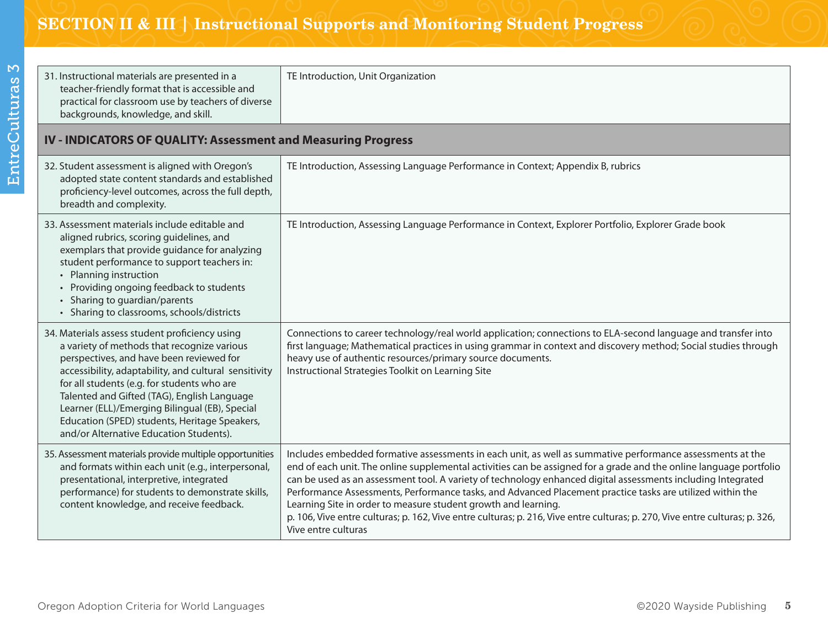| 31. Instructional materials are presented in a<br>teacher-friendly format that is accessible and<br>practical for classroom use by teachers of diverse<br>backgrounds, knowledge, and skill.                                                                                                                                                                                                                                                   | TE Introduction, Unit Organization                                                                                                                                                                                                                                                                                                                                                                                                                                                                                                                                                                                                                                                   |  |  |
|------------------------------------------------------------------------------------------------------------------------------------------------------------------------------------------------------------------------------------------------------------------------------------------------------------------------------------------------------------------------------------------------------------------------------------------------|--------------------------------------------------------------------------------------------------------------------------------------------------------------------------------------------------------------------------------------------------------------------------------------------------------------------------------------------------------------------------------------------------------------------------------------------------------------------------------------------------------------------------------------------------------------------------------------------------------------------------------------------------------------------------------------|--|--|
| IV - INDICATORS OF QUALITY: Assessment and Measuring Progress                                                                                                                                                                                                                                                                                                                                                                                  |                                                                                                                                                                                                                                                                                                                                                                                                                                                                                                                                                                                                                                                                                      |  |  |
| 32. Student assessment is aligned with Oregon's<br>adopted state content standards and established<br>proficiency-level outcomes, across the full depth,<br>breadth and complexity.                                                                                                                                                                                                                                                            | TE Introduction, Assessing Language Performance in Context; Appendix B, rubrics                                                                                                                                                                                                                                                                                                                                                                                                                                                                                                                                                                                                      |  |  |
| 33. Assessment materials include editable and<br>aligned rubrics, scoring guidelines, and<br>exemplars that provide guidance for analyzing<br>student performance to support teachers in:<br>• Planning instruction<br>Providing ongoing feedback to students<br>Sharing to guardian/parents<br>• Sharing to classrooms, schools/districts                                                                                                     | TE Introduction, Assessing Language Performance in Context, Explorer Portfolio, Explorer Grade book                                                                                                                                                                                                                                                                                                                                                                                                                                                                                                                                                                                  |  |  |
| 34. Materials assess student proficiency using<br>a variety of methods that recognize various<br>perspectives, and have been reviewed for<br>accessibility, adaptability, and cultural sensitivity<br>for all students (e.g. for students who are<br>Talented and Gifted (TAG), English Language<br>Learner (ELL)/Emerging Bilingual (EB), Special<br>Education (SPED) students, Heritage Speakers,<br>and/or Alternative Education Students). | Connections to career technology/real world application; connections to ELA-second language and transfer into<br>first language; Mathematical practices in using grammar in context and discovery method; Social studies through<br>heavy use of authentic resources/primary source documents.<br>Instructional Strategies Toolkit on Learning Site                                                                                                                                                                                                                                                                                                                                  |  |  |
| 35. Assessment materials provide multiple opportunities<br>and formats within each unit (e.g., interpersonal,<br>presentational, interpretive, integrated<br>performance) for students to demonstrate skills,<br>content knowledge, and receive feedback.                                                                                                                                                                                      | Includes embedded formative assessments in each unit, as well as summative performance assessments at the<br>end of each unit. The online supplemental activities can be assigned for a grade and the online language portfolio<br>can be used as an assessment tool. A variety of technology enhanced digital assessments including Integrated<br>Performance Assessments, Performance tasks, and Advanced Placement practice tasks are utilized within the<br>Learning Site in order to measure student growth and learning.<br>p. 106, Vive entre culturas; p. 162, Vive entre culturas; p. 216, Vive entre culturas; p. 270, Vive entre culturas; p. 326,<br>Vive entre culturas |  |  |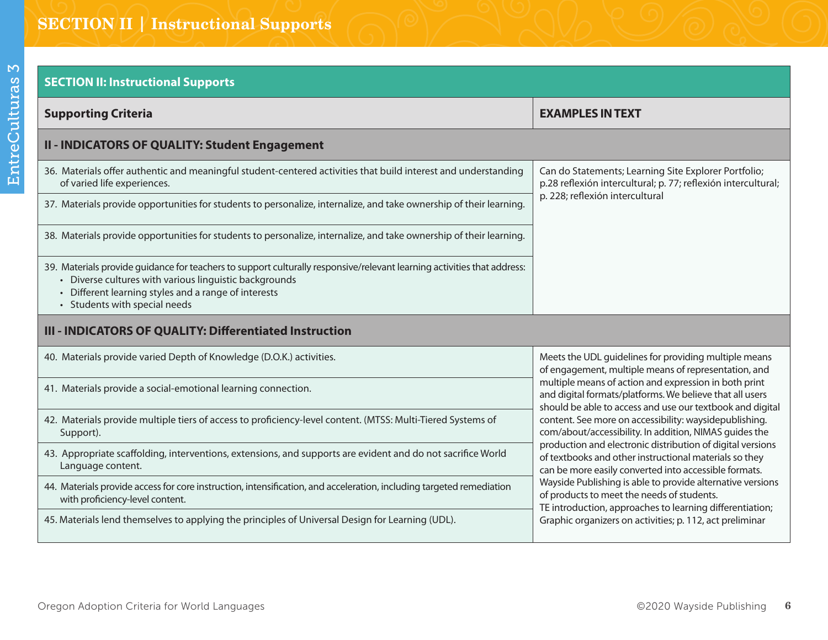### **SECTION II: Instructional Supports**

| <b>Supporting Criteria</b>                                                                                                                                                                                                                                             | <b>EXAMPLES IN TEXT</b>                                                                                                                                                                                                                                                                                                                                                                                                                                                                                                                                                                                                                                                                                          |  |  |  |
|------------------------------------------------------------------------------------------------------------------------------------------------------------------------------------------------------------------------------------------------------------------------|------------------------------------------------------------------------------------------------------------------------------------------------------------------------------------------------------------------------------------------------------------------------------------------------------------------------------------------------------------------------------------------------------------------------------------------------------------------------------------------------------------------------------------------------------------------------------------------------------------------------------------------------------------------------------------------------------------------|--|--|--|
| II - INDICATORS OF QUALITY: Student Engagement                                                                                                                                                                                                                         |                                                                                                                                                                                                                                                                                                                                                                                                                                                                                                                                                                                                                                                                                                                  |  |  |  |
| 36. Materials offer authentic and meaningful student-centered activities that build interest and understanding<br>of varied life experiences.                                                                                                                          | Can do Statements; Learning Site Explorer Portfolio;<br>p.28 reflexión intercultural; p. 77; reflexión intercultural;<br>p. 228; reflexión intercultural                                                                                                                                                                                                                                                                                                                                                                                                                                                                                                                                                         |  |  |  |
| 37. Materials provide opportunities for students to personalize, internalize, and take ownership of their learning.                                                                                                                                                    |                                                                                                                                                                                                                                                                                                                                                                                                                                                                                                                                                                                                                                                                                                                  |  |  |  |
| 38. Materials provide opportunities for students to personalize, internalize, and take ownership of their learning.                                                                                                                                                    |                                                                                                                                                                                                                                                                                                                                                                                                                                                                                                                                                                                                                                                                                                                  |  |  |  |
| 39. Materials provide guidance for teachers to support culturally responsive/relevant learning activities that address:<br>Diverse cultures with various linguistic backgrounds<br>Different learning styles and a range of interests<br>• Students with special needs |                                                                                                                                                                                                                                                                                                                                                                                                                                                                                                                                                                                                                                                                                                                  |  |  |  |
| III - INDICATORS OF QUALITY: Differentiated Instruction                                                                                                                                                                                                                |                                                                                                                                                                                                                                                                                                                                                                                                                                                                                                                                                                                                                                                                                                                  |  |  |  |
| 40. Materials provide varied Depth of Knowledge (D.O.K.) activities.                                                                                                                                                                                                   | Meets the UDL guidelines for providing multiple means<br>of engagement, multiple means of representation, and<br>multiple means of action and expression in both print<br>and digital formats/platforms. We believe that all users<br>should be able to access and use our textbook and digital<br>content. See more on accessibility: waysidepublishing.<br>com/about/accessibility. In addition, NIMAS guides the<br>production and electronic distribution of digital versions<br>of textbooks and other instructional materials so they<br>can be more easily converted into accessible formats.<br>Wayside Publishing is able to provide alternative versions<br>of products to meet the needs of students. |  |  |  |
| 41. Materials provide a social-emotional learning connection.                                                                                                                                                                                                          |                                                                                                                                                                                                                                                                                                                                                                                                                                                                                                                                                                                                                                                                                                                  |  |  |  |
| 42. Materials provide multiple tiers of access to proficiency-level content. (MTSS: Multi-Tiered Systems of<br>Support).                                                                                                                                               |                                                                                                                                                                                                                                                                                                                                                                                                                                                                                                                                                                                                                                                                                                                  |  |  |  |
| 43. Appropriate scaffolding, interventions, extensions, and supports are evident and do not sacrifice World<br>Language content.                                                                                                                                       |                                                                                                                                                                                                                                                                                                                                                                                                                                                                                                                                                                                                                                                                                                                  |  |  |  |
| 44. Materials provide access for core instruction, intensification, and acceleration, including targeted remediation<br>with proficiency-level content.                                                                                                                |                                                                                                                                                                                                                                                                                                                                                                                                                                                                                                                                                                                                                                                                                                                  |  |  |  |

45. Materials lend themselves to applying the principles of Universal Design for Learning (UDL).

TE introduction, approaches to learning differentiation; Graphic organizers on activities; p. 112, act preliminar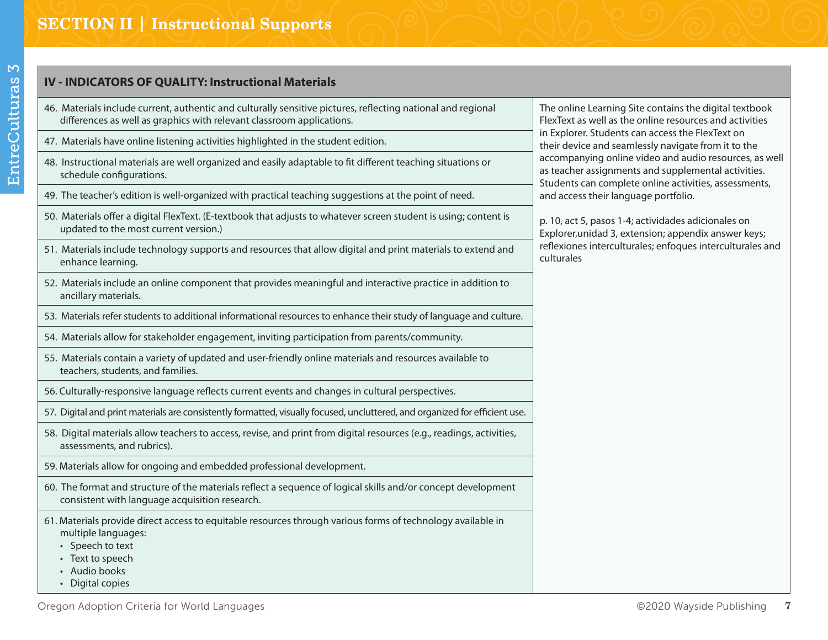### **IV - INDICATORS OF QUALITY: Instructional Materials**

- 46. Materials include current, authentic and culturally sensitive pictures, reflecting national and regional differences as well as graphics with relevant classroom applications.
- 47. Materials have online listening activities highlighted in the student edition.
- 48. Instructional materials are well organized and easily adaptable to fit different teaching situations or schedule configurations.
- 49. The teacher's edition is well-organized with practical teaching suggestions at the point of need.
- 50. Materials offer a digital FlexText. (E-textbook that adjusts to whatever screen student is using; content is updated to the most current version.)
- 51. Materials include technology supports and resources that allow digital and print materials to extend and enhance learning.
- 52. Materials include an online component that provides meaningful and interactive practice in addition to ancillary materials.
- 53. Materials refer students to additional informational resources to enhance their study of language and culture.
- 54. Materials allow for stakeholder engagement, inviting participation from parents/community.
- 55. Materials contain a variety of updated and user-friendly online materials and resources available to teachers, students, and families.
- 56. Culturally-responsive language reflects current events and changes in cultural perspectives.
- 57. Digital and print materials are consistently formatted, visually focused, uncluttered, and organized for efficient use.
- 58. Digital materials allow teachers to access, revise, and print from digital resources (e.g., readings, activities, assessments, and rubrics).
- 59. Materials allow for ongoing and embedded professional development.
- 60. The format and structure of the materials reflect a sequence of logical skills and/or concept development consistent with language acquisition research.
- 61. Materials provide direct access to equitable resources through various forms of technology available in multiple languages:
	- Speech to text
	- Text to speech
	- Audio books
	- Digital copies

The online Learning Site contains the digital textbook FlexText as well as the online resources and activities in Explorer. Students can access the FlexText on their device and seamlessly navigate from it to the accompanying online video and audio resources, as well as teacher assignments and supplemental activities. Students can complete online activities, assessments, and access their language portfolio.

p. 10, act 5, pasos 1-4; actividades adicionales on Explorer,unidad 3, extension; appendix answer keys; reflexiones interculturales; enfoques interculturales and culturales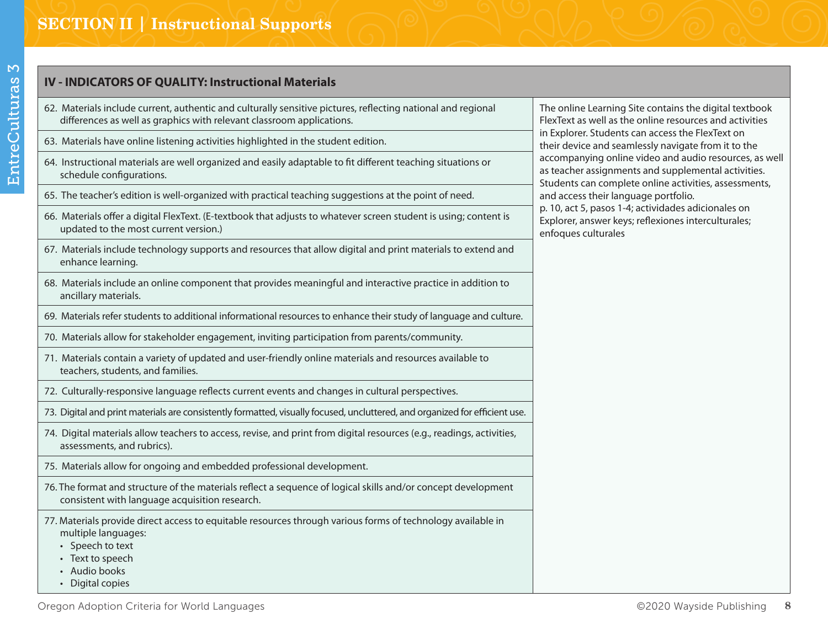#### **IV - INDICATORS OF QUALITY: Instructional Materials**

- 62. Materials include current, authentic and culturally sensitive pictures, reflecting national and regional differences as well as graphics with relevant classroom applications.
- 63. Materials have online listening activities highlighted in the student edition.
- 64. Instructional materials are well organized and easily adaptable to fit different teaching situations or schedule configurations.
- 65. The teacher's edition is well-organized with practical teaching suggestions at the point of need.
- 66. Materials offer a digital FlexText. (E-textbook that adjusts to whatever screen student is using; content is updated to the most current version.)
- 67. Materials include technology supports and resources that allow digital and print materials to extend and enhance learning.
- 68. Materials include an online component that provides meaningful and interactive practice in addition to ancillary materials.
- 69. Materials refer students to additional informational resources to enhance their study of language and culture.
- 70. Materials allow for stakeholder engagement, inviting participation from parents/community.
- 71. Materials contain a variety of updated and user-friendly online materials and resources available to teachers, students, and families.
- 72. Culturally-responsive language reflects current events and changes in cultural perspectives.
- 73. Digital and print materials are consistently formatted, visually focused, uncluttered, and organized for efficient use.
- 74. Digital materials allow teachers to access, revise, and print from digital resources (e.g., readings, activities, assessments, and rubrics).
- 75. Materials allow for ongoing and embedded professional development.
- 76. The format and structure of the materials reflect a sequence of logical skills and/or concept development consistent with language acquisition research.
- 77. Materials provide direct access to equitable resources through various forms of technology available in multiple languages:
	- Speech to text
	- Text to speech
	- Audio books
	- Digital copies

The online Learning Site contains the digital textbook FlexText as well as the online resources and activities in Explorer. Students can access the FlexText on their device and seamlessly navigate from it to the accompanying online video and audio resources, as well as teacher assignments and supplemental activities. Students can complete online activities, assessments, and access their language portfolio. p. 10, act 5, pasos 1-4; actividades adicionales on Explorer, answer keys; reflexiones interculturales; enfoques culturales